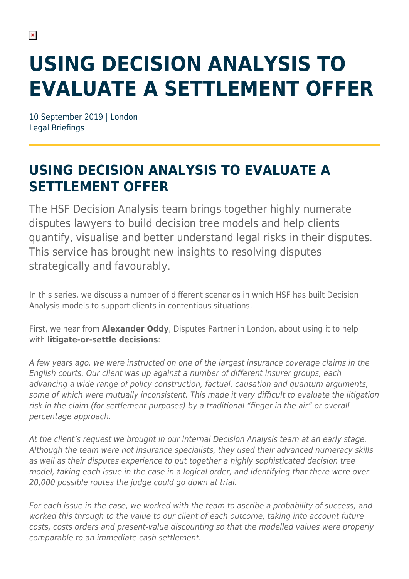## **USING DECISION ANALYSIS TO EVALUATE A SETTLEMENT OFFER**

10 September 2019 | London Legal Briefings

## **USING DECISION ANALYSIS TO EVALUATE A SETTLEMENT OFFER**

The HSF Decision Analysis team brings together highly numerate disputes lawyers to build decision tree models and help clients quantify, visualise and better understand legal risks in their disputes. This service has brought new insights to resolving disputes strategically and favourably.

In this series, we discuss a number of different scenarios in which HSF has built Decision Analysis models to support clients in contentious situations.

First, we hear from **Alexander Oddy**, Disputes Partner in London, about using it to help with **litigate-or-settle decisions**:

A few years ago, we were instructed on one of the largest insurance coverage claims in the English courts. Our client was up against a number of different insurer groups, each advancing a wide range of policy construction, factual, causation and quantum arguments, some of which were mutually inconsistent. This made it very difficult to evaluate the litigation risk in the claim (for settlement purposes) by a traditional "finger in the air" or overall percentage approach.

At the client's request we brought in our internal Decision Analysis team at an early stage. Although the team were not insurance specialists, they used their advanced numeracy skills as well as their disputes experience to put together a highly sophisticated decision tree model, taking each issue in the case in a logical order, and identifying that there were over 20,000 possible routes the judge could go down at trial.

For each issue in the case, we worked with the team to ascribe a probability of success, and worked this through to the value to our client of each outcome, taking into account future costs, costs orders and present-value discounting so that the modelled values were properly comparable to an immediate cash settlement.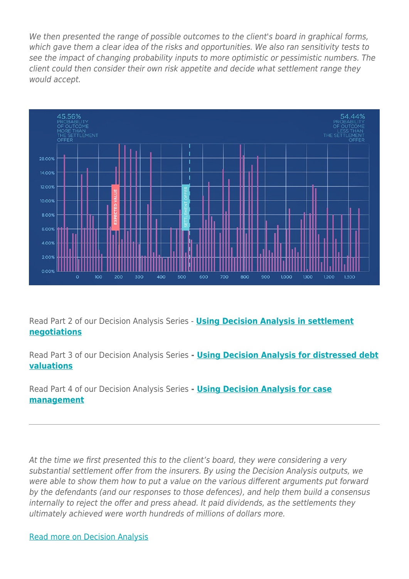We then presented the range of possible outcomes to the client's board in graphical forms, which gave them a clear idea of the risks and opportunities. We also ran sensitivity tests to see the impact of changing probability inputs to more optimistic or pessimistic numbers. The client could then consider their own risk appetite and decide what settlement range they would accept.



Read Part 2 of our Decision Analysis Series - **[Using Decision Analysis in settlement](https://www.herbertsmithfreehills.com/latest-thinking/using-decision-analysis-in-settlement-negotiations) [negotiations](https://www.herbertsmithfreehills.com/latest-thinking/using-decision-analysis-in-settlement-negotiations)**

Read Part 3 of our Decision Analysis Series **- [Using Decision Analysis for distressed debt](https://www.herbertsmithfreehills.com/latest-thinking/using-decision-analysis-for-distressed-debt-valuations) [valuations](https://www.herbertsmithfreehills.com/latest-thinking/using-decision-analysis-for-distressed-debt-valuations)**

Read Part 4 of our Decision Analysis Series **- [Using Decision Analysis for case](https://www.herbertsmithfreehills.com/latest-thinking/using-decision-analysis-for-case-management) [management](https://www.herbertsmithfreehills.com/latest-thinking/using-decision-analysis-for-case-management)**

At the time we first presented this to the client's board, they were considering a very substantial settlement offer from the insurers. By using the Decision Analysis outputs, we were able to show them how to put a value on the various different arguments put forward by the defendants (and our responses to those defences), and help them build a consensus internally to reject the offer and press ahead. It paid dividends, as the settlements they ultimately achieved were worth hundreds of millions of dollars more.

[Read more on Decision Analysis](https://www.herbertsmithfreehills.com/latest-thinking/decision-analysis)